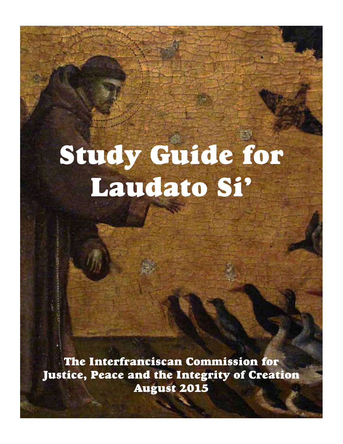# Study Guide for Laudato Si'

The Interfranciscan Commission for Justice, Peace and the Integrity of Creation August 2015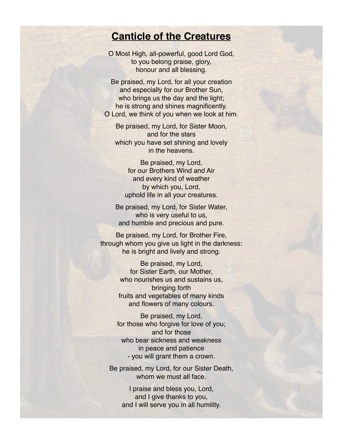## **Canticle of the Creatures**

O Most High, all-powerful, good Lord God, to you belong praise, glory, honour and all blessing.

Be praised, my Lord, for all your creation and especially for our Brother Sun, who brings us the day and the light; he is strong and shines magnificently. O Lord, we think of you when we look at him.

Be praised, my Lord, for Sister Moon, and for the stars which you have set shining and lovely in the heavens.

Be praised, my Lord, for our Brothers Wind and Air and every kind of weather by which you, Lord, uphold life in all your creatures.

Be praised, my Lord, for Sister Water, who is very useful to us, and humble and precious and pure.

Be praised, my Lord, for Brother Fire, through whom you give us light in the darkness: he is bright and lively and strong.

> Be praised, my Lord, for Sister Earth, our Mother, who nourishes us and sustains us, bringing forth fruits and vegetables of many kinds and flowers of many colours.

Be praised, my Lord, for those who forgive for love of you; and for those who bear sickness and weakness in peace and patience - you will grant them a crown.

Be praised, my Lord, for our Sister Death, whom we must all face.

> I praise and bless you, Lord, and I give thanks to you, and I will serve you in all humility.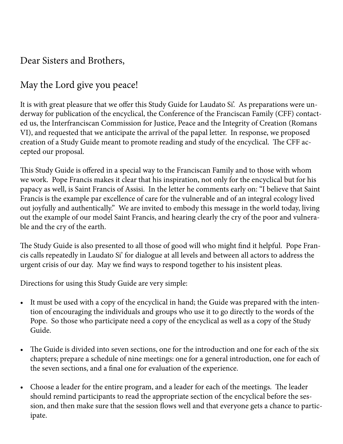## Dear Sisters and Brothers,

# May the Lord give you peace!

It is with great pleasure that we offer this Study Guide for Laudato Si'. As preparations were underway for publication of the encyclical, the Conference of the Franciscan Family (CFF) contacted us, the Interfranciscan Commission for Justice, Peace and the Integrity of Creation (Romans VI), and requested that we anticipate the arrival of the papal letter. In response, we proposed creation of a Study Guide meant to promote reading and study of the encyclical. The CFF accepted our proposal.

This Study Guide is offered in a special way to the Franciscan Family and to those with whom we work. Pope Francis makes it clear that his inspiration, not only for the encyclical but for his papacy as well, is Saint Francis of Assisi. In the letter he comments early on: "I believe that Saint Francis is the example par excellence of care for the vulnerable and of an integral ecology lived out joyfully and authentically." We are invited to embody this message in the world today, living out the example of our model Saint Francis, and hearing clearly the cry of the poor and vulnerable and the cry of the earth.

The Study Guide is also presented to all those of good will who might find it helpful. Pope Francis calls repeatedly in Laudato Si' for dialogue at all levels and between all actors to address the urgent crisis of our day. May we find ways to respond together to his insistent pleas.

Directions for using this Study Guide are very simple:

- It must be used with a copy of the encyclical in hand; the Guide was prepared with the intention of encouraging the individuals and groups who use it to go directly to the words of the Pope. So those who participate need a copy of the encyclical as well as a copy of the Study Guide.
- The Guide is divided into seven sections, one for the introduction and one for each of the six chapters; prepare a schedule of nine meetings: one for a general introduction, one for each of the seven sections, and a final one for evaluation of the experience.
- Choose a leader for the entire program, and a leader for each of the meetings. The leader should remind participants to read the appropriate section of the encyclical before the session, and then make sure that the session flows well and that everyone gets a chance to participate.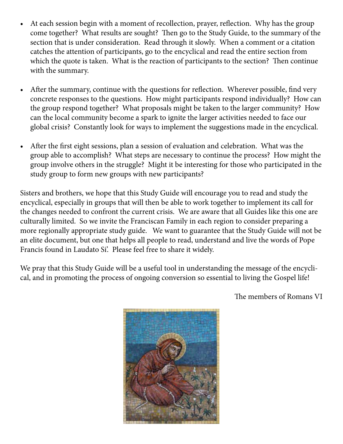- At each session begin with a moment of recollection, prayer, reflection. Why has the group come together? What results are sought? Then go to the Study Guide, to the summary of the section that is under consideration. Read through it slowly. When a comment or a citation catches the attention of participants, go to the encyclical and read the entire section from which the quote is taken. What is the reaction of participants to the section? Then continue with the summary.
- After the summary, continue with the questions for reflection. Wherever possible, find very concrete responses to the questions. How might participants respond individually? How can the group respond together? What proposals might be taken to the larger community? How can the local community become a spark to ignite the larger activities needed to face our global crisis? Constantly look for ways to implement the suggestions made in the encyclical.
- After the first eight sessions, plan a session of evaluation and celebration. What was the group able to accomplish? What steps are necessary to continue the process? How might the group involve others in the struggle? Might it be interesting for those who participated in the study group to form new groups with new participants?

Sisters and brothers, we hope that this Study Guide will encourage you to read and study the encyclical, especially in groups that will then be able to work together to implement its call for the changes needed to confront the current crisis. We are aware that all Guides like this one are culturally limited. So we invite the Franciscan Family in each region to consider preparing a more regionally appropriate study guide. We want to guarantee that the Study Guide will not be an elite document, but one that helps all people to read, understand and live the words of Pope Francis found in Laudato Si'. Please feel free to share it widely.

We pray that this Study Guide will be a useful tool in understanding the message of the encyclical, and in promoting the process of ongoing conversion so essential to living the Gospel life!



The members of Romans VI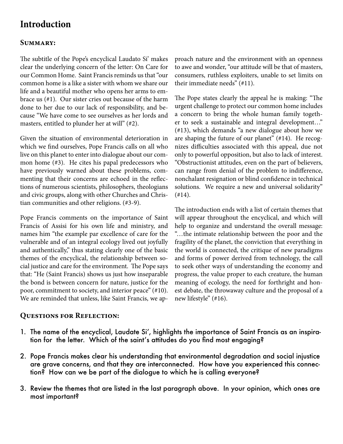## **Introduction**

#### **Summary:**

The subtitle of the Pope's encyclical Laudato Si' makes clear the underlying concern of the letter: On Care for our Common Home. Saint Francis reminds us that "our common home is a like a sister with whom we share our life and a beautiful mother who opens her arms to embrace us (#1). Our sister cries out because of the harm done to her due to our lack of responsibility, and because "We have come to see ourselves as her lords and masters, entitled to plunder her at will" (#2).

Given the situation of environmental deterioration in which we find ourselves, Pope Francis calls on all who live on this planet to enter into dialogue about our common home (#3). He cites his papal predecessors who have previously warned about these problems, commenting that their concerns are echoed in the reflections of numerous scientists, philosophers, theologians and civic groups, along with other Churches and Christian communities and other religions. (#3-9).

Pope Francis comments on the importance of Saint Francis of Assisi for his own life and ministry, and names him "the example par excellence of care for the vulnerable and of an integral ecology lived out joyfully and authentically," thus stating clearly one of the basic themes of the encyclical, the relationship between social justice and care for the environment. The Pope says that: "He (Saint Francis) shows us just how inseparable the bond is between concern for nature, justice for the poor, commitment to society, and interior peace" (#10). We are reminded that unless, like Saint Francis, we ap-

**Questions for Reflection:**

proach nature and the environment with an openness to awe and wonder, "our attitude will be that of masters, consumers, ruthless exploiters, unable to set limits on their immediate needs" (#11).

The Pope states clearly the appeal he is making: "The urgent challenge to protect our common home includes a concern to bring the whole human family together to seek a sustainable and integral development…" (#13), which demands "a new dialogue about how we are shaping the future of our planet" (#14). He recognizes difficulties associated with this appeal, due not only to powerful opposition, but also to lack of interest. "Obstructionist attitudes, even on the part of believers, can range from denial of the problem to indifference, nonchalant resignation or blind confidence in technical solutions. We require a new and universal solidarity" (#14).

The introduction ends with a list of certain themes that will appear throughout the encyclical, and which will help to organize and understand the overall message: "…the intimate relationship between the poor and the fragility of the planet, the conviction that everything in the world is connected, the critique of new paradigms and forms of power derived from technology, the call to seek other ways of understanding the economy and progress, the value proper to each creature, the human meaning of ecology, the need for forthright and honest debate, the throwaway culture and the proposal of a new lifestyle" (#16).

- 1. The name of the encyclical, Laudate Si', highlights the importance of Saint Francis as an inspiration for the letter. Which of the saint's attitudes do you find most engaging?
- 2. Pope Francis makes clear his understanding that environmental degradation and social injustice are grave concerns, and that they are interconnected. How have you experienced this connection? How can we be part of the dialogue to which he is calling everyone?
- 3. Review the themes that are listed in the last paragraph above. In your opinion, which ones are most important?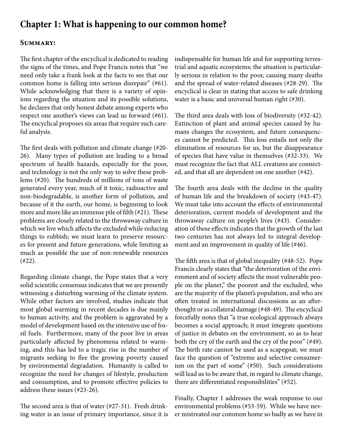## **Chapter 1: What is happening to our common home?**

#### **Summary:**

The first chapter of the encyclical is dedicated to reading the signs of the times, and Pope Francis notes that "we need only take a frank look at the facts to see that our common home is falling into serious disrepair" (#61). While acknowledging that there is a variety of opinions regarding the situation and its possible solutions, he declares that only honest debate among experts who respect one another's views can lead us forward (#61). The encyclical proposes six areas that require such careful analysis.

The first deals with pollution and climate change (#20- 26). Many types of pollution are leading to a broad spectrum of health hazards, especially for the poor, and technology is not the only way to solve these problems (#20). The hundreds of millions of tons of waste generated every year, much of it toxic, radioactive and non-biodegradable, is another form of pollution, and because of it the earth, our home, is beginning to look more and more like an immense pile of filth (#21). These problems are closely related to the throwaway culture in which we live which affects the excluded while reducing things to rubbish; we must learn to preserve resources for present and future generations, while limiting as much as possible the use of non-renewable resources (#22).

Regarding climate change, the Pope states that a very solid scientific consensus indicates that we are presently witnessing a disturbing warming of the climate system. While other factors are involved, studies indicate that most global warming in recent decades is due mainly to human activity, and the problem is aggravated by a model of development based on the intensive use of fossil fuels. Furthermore, many of the poor live in areas particularly affected by phenomena related to warming, and this has led to a tragic rise in the number of migrants seeking to flee the growing poverty caused by environmental degradation. Humanity is called to recognize the need for changes of lifestyle, production and consumption, and to promote effective policies to address these issues (#23-26).

The second area is that of water (#27-31). Fresh drinking water is an issue of primary importance, since it is indispensable for human life and for supporting terrestrial and aquatic ecosystems; the situation is particularly serious in relation to the poor, causing many deaths and the spread of water-related diseases (#28-29). The encyclical is clear in stating that access to safe drinking water is a basic and universal human right (#30).

The third area deals with loss of biodiversity (#32-42). Extinction of plant and animal species caused by humans changes the ecosystem, and future consequences cannot be predicted. This loss entails not only the elimination of resources for us, but the disappearance of species that have value in themselves (#32-33). We must recognize the fact that ALL creatures are connected, and that all are dependent on one another (#42).

The fourth area deals with the decline in the quality of human life and the breakdown of society (#43-47). We must take into account the effects of environmental deterioration, current models of development and the throwaway culture on people's lives (#43). Consideration of these effects indicates that the growth of the last two centuries has not always led to integral development and an improvement in quality of life (#46).

The fifth area is that of global inequality (#48-52). Pope Francis clearly states that "the deterioration of the environment and of society affects the most vulnerable people on the planet," the poorest and the excluded, who are the majority of the planet's population, and who are often treated in international discussions as an afterthought or as collateral damage (#48-49). The encyclical forcefully notes that "a true ecological approach always becomes a social approach; it must integrate questions of justice in debates on the environment, so as to hear both the cry of the earth and the cry of the poor" (#49). The birth rate cannot be used as a scapegoat; we must face the question of "extreme and selective consumerism on the part of some" (#50). Such considerations will lead us to be aware that, in regard to climate change, there are differentiated responsibilities" (#52).

Finally, Chapter 1 addresses the weak response to our environmental problems (#53-59). While we have never mistreated our common home so badly as we have in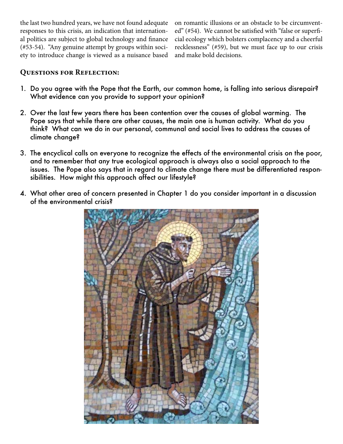the last two hundred years, we have not found adequate responses to this crisis, an indication that international politics are subject to global technology and finance (#53-54). "Any genuine attempt by groups within society to introduce change is viewed as a nuisance based on romantic illusions or an obstacle to be circumvented" (#54). We cannot be satisfied with "false or superficial ecology which bolsters complacency and a cheerful recklessness" (#59), but we must face up to our crisis and make bold decisions.

- 1. Do you agree with the Pope that the Earth, our common home, is falling into serious disrepair? What evidence can you provide to support your opinion?
- 2. Over the last few years there has been contention over the causes of global warming. The Pope says that while there are other causes, the main one is human activity. What do you think? What can we do in our personal, communal and social lives to address the causes of climate change?
- 3. The encyclical calls on everyone to recognize the effects of the environmental crisis on the poor, and to remember that any true ecological approach is always also a social approach to the issues. The Pope also says that in regard to climate change there must be differentiated responsibilities. How might this approach affect our lifestyle?
- 4. What other area of concern presented in Chapter 1 do you consider important in a discussion of the environmental crisis?

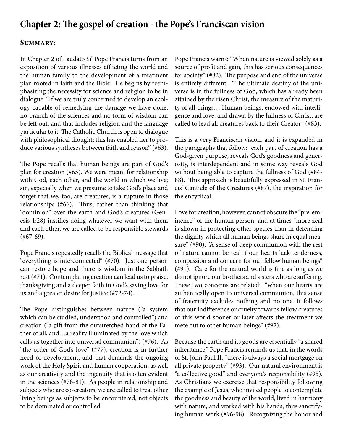## **Chapter 2: The gospel of creation - the Pope's Franciscan vision**

#### **Summary:**

In Chapter 2 of Laudato Si' Pope Francis turns from an exposition of various illnesses afflicting the world and the human family to the development of a treatment plan rooted in faith and the Bible. He begins by reemphasizing the necessity for science and religion to be in dialogue: "If we are truly concerned to develop an ecology capable of remedying the damage we have done, no branch of the sciences and no form of wisdom can be left out, and that includes religion and the language particular to it. The Catholic Church is open to dialogue with philosophical thought; this has enabled her to produce various syntheses between faith and reason" (#63).

The Pope recalls that human beings are part of God's plan for creation (#65). We were meant for relationship with God, each other, and the world in which we live; sin, especially when we presume to take God's place and forget that we, too, are creatures, is a rupture in those relationships (#66). Thus, rather than thinking that "dominion" over the earth and God's creatures (Genesis 1:28) justifies doing whatever we want with them and each other, we are called to be responsible stewards (#67-69).

Pope Francis repeatedly recalls the Biblical message that "everything is interconnected" (#70). Just one person can restore hope and there is wisdom in the Sabbath rest (#71). Contemplating creation can lead us to praise, thanksgiving and a deeper faith in God's saving love for us and a greater desire for justice (#72-74).

The Pope distinguishes between nature ("a system which can be studied, understood and controlled") and creation ("a gift from the outstretched hand of the Father of all, and…a reality illuminated by the love which calls us together into universal communion") (#76). As "the order of God's love" (#77), creation is in further need of development, and that demands the ongoing work of the Holy Spirit and human cooperation, as well as our creativity and the ingenuity that is often evident in the sciences (#78-81). As people in relationship and subjects who are co-creators, we are called to treat other living beings as subjects to be encountered, not objects to be dominated or controlled.

Pope Francis warns: "When nature is viewed solely as a source of profit and gain, this has serious consequences for society" (#82). The purpose and end of the universe is entirely different: "The ultimate destiny of the universe is in the fullness of God, which has already been attained by the risen Christ, the measure of the maturity of all things….Human beings, endowed with intelligence and love, and drawn by the fullness of Christ, are called to lead all creatures back to their Creator" (#83).

This is a very Franciscan vision, and it is expanded in the paragraphs that follow: each part of creation has a God-given purpose, reveals God's goodness and generosity, is interdependent and in some way reveals God without being able to capture the fullness of God (#84- 88). This approach is beautifully expressed in St. Francis' Canticle of the Creatures (#87), the inspiration for the encyclical.

Love for creation, however, cannot obscure the "pre-eminence" of the human person, and at times "more zeal is shown in protecting other species than in defending the dignity which all human beings share in equal measure" (#90). "A sense of deep communion with the rest of nature cannot be real if our hearts lack tenderness, compassion and concern for our fellow human beings" (#91). Care for the natural world is fine as long as we do not ignore our brothers and sisters who are suffering. These two concerns are related: "when our hearts are authentically open to universal communion, this sense of fraternity excludes nothing and no one. It follows that our indifference or cruelty towards fellow creatures of this world sooner or later affects the treatment we mete out to other human beings" (#92).

Because the earth and its goods are essentially "a shared inheritance," Pope Francis reminds us that, in the words of St. John Paul II, "there is always a social mortgage on all private property" (#93). Our natural environment is "a collective good" and everyone's responsibility (#95). As Christians we exercise that responsibility following the example of Jesus, who invited people to contemplate the goodness and beauty of the world, lived in harmony with nature, and worked with his hands, thus sanctifying human work (#96-98). Recognizing the honor and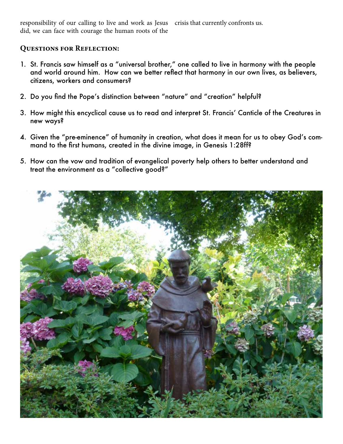responsibility of our calling to live and work as Jesus crisis that currently confronts us. did, we can face with courage the human roots of the

- 1. St. Francis saw himself as a "universal brother," one called to live in harmony with the people and world around him. How can we better reflect that harmony in our own lives, as believers, citizens, workers and consumers?
- 2. Do you find the Pope's distinction between "nature" and "creation" helpful?
- 3. How might this encyclical cause us to read and interpret St. Francis' Canticle of the Creatures in new ways?
- 4. Given the "pre-eminence" of humanity in creation, what does it mean for us to obey God's command to the first humans, created in the divine image, in Genesis 1:28ff?
- 5. How can the vow and tradition of evangelical poverty help others to better understand and treat the environment as a "collective good?"

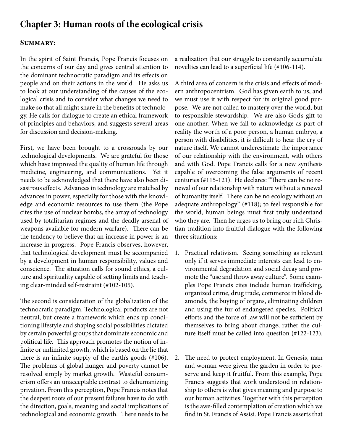## **Chapter 3: Human roots of the ecological crisis**

#### **Summary:**

In the spirit of Saint Francis, Pope Francis focuses on the concerns of our day and gives central attention to the dominant technocratic paradigm and its effects on people and on their actions in the world. He asks us to look at our understanding of the causes of the ecological crisis and to consider what changes we need to make so that all might share in the benefits of technology. He calls for dialogue to create an ethical framework of principles and behaviors, and suggests several areas for discussion and decision-making.

First, we have been brought to a crossroads by our technological developments. We are grateful for those which have improved the quality of human life through medicine, engineering, and communications. Yet it needs to be acknowledged that there have also been disastrous effects. Advances in technology are matched by advances in power, especially for those with the knowledge and economic resources to use them (the Pope cites the use of nuclear bombs, the array of technology used by totalitarian regimes and the deadly arsenal of weapons available for modern warfare). There can be the tendency to believe that an increase in power is an increase in progress. Pope Francis observes, however, that technological development must be accompanied by a development in human responsibility, values and conscience. The situation calls for sound ethics, a culture and spirituality capable of setting limits and teaching clear-minded self-restraint (#102-105).

The second is consideration of the globalization of the technocratic paradigm. Technological products are not neutral, but create a framework which ends up conditioning lifestyle and shaping social possibilities dictated by certain powerful groups that dominate economic and political life. This approach promotes the notion of infinite or unlimited growth, which is based on the lie that there is an infinite supply of the earth's goods (#106). The problems of global hunger and poverty cannot be resolved simply by market growth. Wasteful consumerism offers an unacceptable contrast to dehumanizing privation. From this perception, Pope Francis notes that the deepest roots of our present failures have to do with the direction, goals, meaning and social implications of technological and economic growth. There needs to be

a realization that our struggle to constantly accumulate novelties can lead to a superficial life (#106-114).

A third area of concern is the crisis and effects of modern anthropocentrism. God has given earth to us, and we must use it with respect for its original good purpose. We are not called to mastery over the world, but to responsible stewardship. We are also God's gift to one another. When we fail to acknowledge as part of reality the worth of a poor person, a human embryo, a person with disabilities, it is difficult to hear the cry of nature itself. We cannot underestimate the importance of our relationship with the environment, with others and with God. Pope Francis calls for a new synthesis capable of overcoming the false arguments of recent centuries (#115-121). He declares: "There can be no renewal of our relationship with nature without a renewal of humanity itself. There can be no ecology without an adequate anthropology" (#118); to feel responsible for the world, human beings must first truly understand who they are. Then he urges us to bring our rich Christian tradition into fruitful dialogue with the following three situations:

- 1. Practical relativism. Seeing something as relevant only if it serves immediate interests can lead to environmental degradation and social decay and promote the "use and throw away culture". Some examples Pope Francis cites include human trafficking, organized crime, drug trade, commerce in blood diamonds, the buying of organs, eliminating children and using the fur of endangered species. Political efforts and the force of law will not be sufficient by themselves to bring about change; rather the culture itself must be called into question (#122-123).
- 2. The need to protect employment. In Genesis, man and woman were given the garden in order to preserve and keep it fruitful. From this example, Pope Francis suggests that work understood in relationship to others is what gives meaning and purpose to our human activities. Together with this perception is the awe-filled contemplation of creation which we find in St. Francis of Assisi. Pope Francis asserts that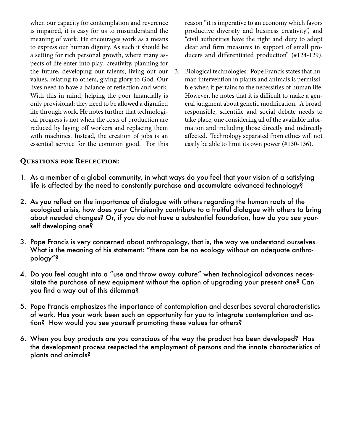when our capacity for contemplation and reverence is impaired, it is easy for us to misunderstand the meaning of work. He encourages work as a means to express our human dignity. As such it should be a setting for rich personal growth, where many aspects of life enter into play: creativity, planning for the future, developing our talents, living out our values, relating to others, giving glory to God. Our lives need to have a balance of reflection and work. With this in mind, helping the poor financially is only provisional; they need to be allowed a dignified life through work. He notes further that technological progress is not when the costs of production are reduced by laying off workers and replacing them with machines. Instead, the creation of jobs is an essential service for the common good. For this

reason "it is imperative to an economy which favors productive diversity and business creativity", and "civil authorities have the right and duty to adopt clear and firm measures in support of small producers and differentiated production" (#124-129).

3. Biological technologies. Pope Francis states that human intervention in plants and animals is permissible when it pertains to the necessities of human life. However, he notes that it is difficult to make a general judgment about genetic modification. A broad, responsible, scientific and social debate needs to take place, one considering all of the available information and including those directly and indirectly affected. Technology separated from ethics will not easily be able to limit its own power (#130-136).

- 1. As a member of a global community, in what ways do you feel that your vision of a satisfying life is affected by the need to constantly purchase and accumulate advanced technology?
- 2. As you reflect on the importance of dialogue with others regarding the human roots of the ecological crisis, how does your Christianity contribute to a fruitful dialogue with others to bring about needed changes? Or, if you do not have a substantial foundation, how do you see yourself developing one?
- 3. Pope Francis is very concerned about anthropology, that is, the way we understand ourselves. What is the meaning of his statement: "there can be no ecology without an adequate anthropology"?
- 4. Do you feel caught into a "use and throw away culture" when technological advances necessitate the purchase of new equipment without the option of upgrading your present one? Can you find a way out of this dilemma?
- 5. Pope Francis emphasizes the importance of contemplation and describes several characteristics of work. Has your work been such an opportunity for you to integrate contemplation and action? How would you see yourself promoting these values for others?
- 6. When you buy products are you conscious of the way the product has been developed? Has the development process respected the employment of persons and the innate characteristics of plants and animals?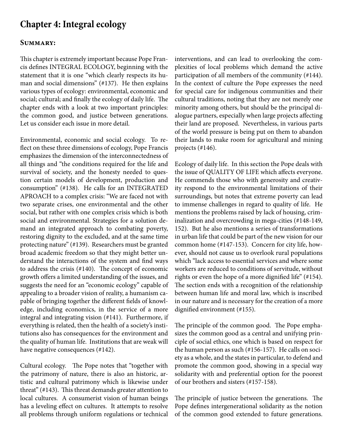## **Chapter 4: Integral ecology**

#### **Summary:**

This chapter is extremely important because Pope Francis defines INTEGRAL ECOLOGY, beginning with the statement that it is one "which clearly respects its human and social dimensions" (#137). He then explains various types of ecology: environmental, economic and social; cultural; and finally the ecology of daily life. The chapter ends with a look at two important principles: the common good, and justice between generations. Let us consider each issue in more detail.

Environmental, economic and social ecology. To reflect on these three dimensions of ecology, Pope Francis emphasizes the dimension of the interconnectedness of all things and "the conditions required for the life and survival of society, and the honesty needed to question certain models of development, production and consumption" (#138). He calls for an INTEGRATED APROACH to a complex crisis: "We are faced not with two separate crises, one environmental and the other social, but rather with one complex crisis which is both social and environmental. Strategies for a solution demand an integrated approach to combating poverty, restoring dignity to the excluded, and at the same time protecting nature" (#139). Researchers must be granted broad academic freedom so that they might better understand the interactions of the system and find ways to address the crisis (#140). The concept of economic growth offers a limited understanding of the issues, and suggests the need for an "economic ecology" capable of appealing to a broader vision of reality, a humanism capable of bringing together the different fields of knowledge, including economics, in the service of a more integral and integrating vision (#141). Furthermore, if everything is related, then the health of a society's institutions also has consequences for the environment and the quality of human life. Institutions that are weak will have negative consequences (#142).

Cultural ecology. The Pope notes that "together with the patrimony of nature, there is also an historic, artistic and cultural patrimony which is likewise under threat" (#143). This threat demands greater attention to local cultures. A consumerist vision of human beings has a leveling effect on cultures. It attempts to resolve all problems through uniform regulations or technical

interventions, and can lead to overlooking the complexities of local problems which demand the active participation of all members of the community (#144). In the context of culture the Pope expresses the need for special care for indigenous communities and their cultural traditions, noting that they are not merely one minority among others, but should be the principal dialogue partners, especially when large projects affecting their land are proposed. Nevertheless, in various parts of the world pressure is being put on them to abandon their lands to make room for agricultural and mining projects (#146).

Ecology of daily life. In this section the Pope deals with the issue of QUALITY OF LIFE which affects everyone. He commends those who with generosity and creativity respond to the environmental limitations of their surroundings, but notes that extreme poverty can lead to immense challenges in regard to quality of life. He mentions the problems raised by lack of housing, criminalization and overcrowding in mega-cities (#148-149, 152). But he also mentions a series of transformations in urban life that could be part of the new vision for our common home (#147-153). Concern for city life, however, should not cause us to overlook rural populations which "lack access to essential services and where some workers are reduced to conditions of servitude, without rights or even the hope of a more dignified life" (#154). The section ends with a recognition of the relationship between human life and moral law, which is inscribed in our nature and is necessary for the creation of a more dignified environment (#155).

The principle of the common good. The Pope emphasizes the common good as a central and unifying principle of social ethics, one which is based on respect for the human person as such (#156-157). He calls on society as a whole, and the states in particular, to defend and promote the common good, showing in a special way solidarity with and preferential option for the poorest of our brothers and sisters (#157-158).

The principle of justice between the generations. The Pope defines intergenerational solidarity as the notion of the common good extended to future generations.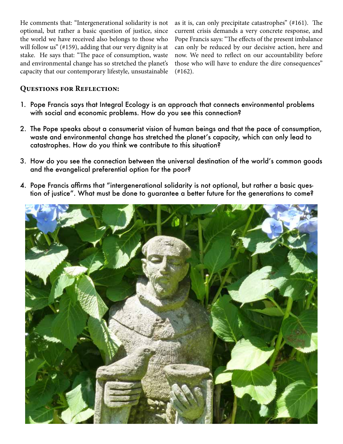He comments that: "Intergenerational solidarity is not optional, but rather a basic question of justice, since the world we have received also belongs to those who will follow us" (#159), adding that our very dignity is at stake. He says that: "The pace of consumption, waste and environmental change has so stretched the planet's capacity that our contemporary lifestyle, unsustainable as it is, can only precipitate catastrophes" (#161). The current crisis demands a very concrete response, and Pope Francis says: "The effects of the present imbalance can only be reduced by our decisive action, here and now. We need to reflect on our accountability before those who will have to endure the dire consequences"  $(+162)$ .

- 1. Pope Francis says that Integral Ecology is an approach that connects environmental problems with social and economic problems. How do you see this connection?
- 2. The Pope speaks about a consumerist vision of human beings and that the pace of consumption, waste and environmental change has stretched the planet's capacity, which can only lead to catastrophes. How do you think we contribute to this situation?
- 3. How do you see the connection between the universal destination of the world's common goods and the evangelical preferential option for the poor?
- 4. Pope Francis affirms that "intergenerational solidarity is not optional, but rather a basic question of justice". What must be done to guarantee a better future for the generations to come?

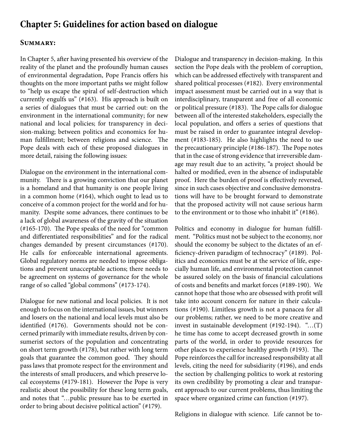## **Chapter 5: Guidelines for action based on dialogue**

#### **Summary:**

In Chapter 5, after having presented his overview of the reality of the planet and the profoundly human causes of environmental degradation, Pope Francis offers his thoughts on the more important paths we might follow to "help us escape the spiral of self-destruction which currently engulfs us" (#163). His approach is built on a series of dialogues that must be carried out: on the environment in the international community; for new national and local policies; for transparency in decision-making; between politics and economics for human fulfillment; between religions and science. The Pope deals with each of these proposed dialogues in more detail, raising the following issues:

Dialogue on the environment in the international community. There is a growing conviction that our planet is a homeland and that humanity is one people living in a common home (#164), which ought to lead us to conceive of a common project for the world and for humanity. Despite some advances, there continues to be a lack of global awareness of the gravity of the situation (#165-170). The Pope speaks of the need for "common and differentiated responsibilities" and for the radical changes demanded by present circumstances (#170). He calls for enforceable international agreements. Global regulatory norms are needed to impose obligations and prevent unacceptable actions; there needs to be agreement on systems of governance for the whole range of so called "global commons" (#173-174).

Dialogue for new national and local policies. It is not enough to focus on the international issues, but winners and losers on the national and local levels must also be identified (#176). Governments should not be concerned primarily with immediate results, driven by consumerist sectors of the population and concentrating on short term growth (#178), but rather with long term goals that guarantee the common good. They should pass laws that promote respect for the environment and the interests of small producers, and which preserve local ecosystems (#179-181). However the Pope is very realistic about the possibility for these long term goals, and notes that "…public pressure has to be exerted in order to bring about decisive political action" (#179).

Dialogue and transparency in decision-making. In this section the Pope deals with the problem of corruption, which can be addressed effectively with transparent and shared political processes (#182). Every environmental impact assessment must be carried out in a way that is interdisciplinary, transparent and free of all economic or political pressure (#183). The Pope calls for dialogue between all of the interested stakeholders, especially the local population, and offers a series of questions that must be raised in order to guarantee integral development (#183-185). He also highlights the need to use the precautionary principle (#186-187). The Pope notes that in the case of strong evidence that irreversible damage may result due to an activity, "a project should be halted or modified, even in the absence of indisputable proof. Here the burden of proof is effectively reversed, since in such cases objective and conclusive demonstrations will have to be brought forward to demonstrate that the proposed activity will not cause serious harm to the environment or to those who inhabit it" (#186).

Politics and economy in dialogue for human fulfillment. "Politics must not be subject to the economy, nor should the economy be subject to the dictates of an efficiency-driven paradigm of technocracy" (#189). Politics and economics must be at the service of life, especially human life, and environmental protection cannot be assured solely on the basis of financial calculations of costs and benefits and market forces (#189-190). We cannot hope that those who are obsessed with profit will take into account concern for nature in their calculations (#190). Limitless growth is not a panacea for all our problems; rather, we need to be more creative and invest in sustainable development (#192-194). "…(T) he time has come to accept decreased growth in some parts of the world, in order to provide resources for other places to experience healthy growth (#193). The Pope reinforces the call for increased responsibility at all levels, citing the need for subsidiarity (#196), and ends the section by challenging politics to work at restoring its own credibility by promoting a clear and transparent approach to our current problems, thus limiting the space where organized crime can function (#197).

Religions in dialogue with science. Life cannot be to-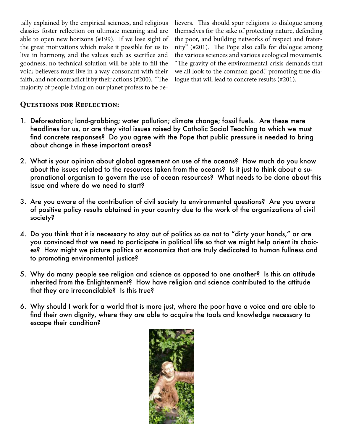tally explained by the empirical sciences, and religious classics foster reflection on ultimate meaning and are able to open new horizons (#199). If we lose sight of the great motivations which make it possible for us to live in harmony, and the values such as sacrifice and goodness, no technical solution will be able to fill the void; believers must live in a way consonant with their faith, and not contradict it by their actions (#200). "The majority of people living on our planet profess to be believers. This should spur religions to dialogue among themselves for the sake of protecting nature, defending the poor, and building networks of respect and fraternity" (#201). The Pope also calls for dialogue among the various sciences and various ecological movements. "The gravity of the environmental crisis demands that we all look to the common good," promoting true dialogue that will lead to concrete results (#201).

- 1. Deforestation; land-grabbing; water pollution; climate change; fossil fuels. Are these mere headlines for us, or are they vital issues raised by Catholic Social Teaching to which we must find concrete responses? Do you agree with the Pope that public pressure is needed to bring about change in these important areas?
- 2. What is your opinion about global agreement on use of the oceans? How much do you know about the issues related to the resources taken from the oceans? Is it just to think about a supranational organism to govern the use of ocean resources? What needs to be done about this issue and where do we need to start?
- 3. Are you aware of the contribution of civil society to environmental questions? Are you aware of positive policy results obtained in your country due to the work of the organizations of civil society?
- 4. Do you think that it is necessary to stay out of politics so as not to "dirty your hands," or are you convinced that we need to participate in political life so that we might help orient its choices? How might we picture politics or economics that are truly dedicated to human fullness and to promoting environmental justice?
- 5. Why do many people see religion and science as opposed to one another? Is this an attitude inherited from the Enlightenment? How have religion and science contributed to the attitude that they are irreconcilable? Is this true?
- 6. Why should I work for a world that is more just, where the poor have a voice and are able to find their own dignity, where they are able to acquire the tools and knowledge necessary to escape their condition?

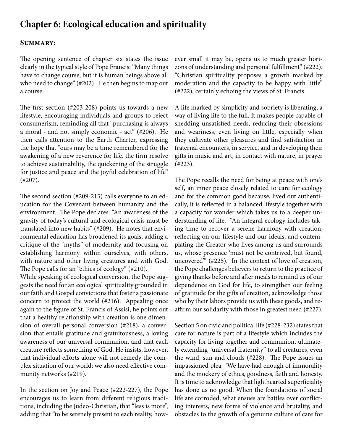## **Chapter 6: Ecological education and spirituality**

#### **Summary:**

The opening sentence of chapter six states the issue clearly in the typical style of Pope Francis: "Many things have to change course, but it is human beings above all who need to change" (#202). He then begins to map out a course.

The first section (#203-208) points us towards a new lifestyle, encouraging individuals and groups to reject consumerism, reminding all that "purchasing is always a moral - and not simply economic - act" (#206). He then calls attention to the Earth Charter, expressing the hope that "ours may be a time remembered for the awakening of a new reverence for life, the firm resolve to achieve sustainability, the quickening of the struggle for justice and peace and the joyful celebration of life" (#207).

The second section (#209-215) calls everyone to an education for the Covenant between humanity and the environment. The Pope declares: "An awareness of the gravity of today's cultural and ecological crisis must be translated into new habits" (#209). He notes that environmental education has broadened its goals, adding a critique of the "myths" of modernity and focusing on establishing harmony within ourselves, with others, with nature and other living creatures and with God. The Pope calls for an "ethics of ecology" (#210).

While speaking of ecological conversion, the Pope suggests the need for an ecological spirituality grounded in our faith and Gospel convictions that foster a passionate concern to protect the world (#216). Appealing once again to the figure of St. Francis of Assisi, he points out that a healthy relationship with creation is one dimension of overall personal conversion (#218), a conversion that entails gratitude and gratuitousness, a loving awareness of our universal communion, and that each creature reflects something of God. He insists, however, that individual efforts alone will not remedy the complex situation of our world; we also need effective community networks (#219).

In the section on Joy and Peace (#222-227), the Pope encourages us to learn from different religious traditions, including the Judeo-Christian, that "less is more", adding that "to be serenely present to each reality, however small it may be, opens us to much greater horizons of understanding and personal fulfillment" (#222). "Christian spirituality proposes a growth marked by moderation and the capacity to be happy with little" (#222), certainly echoing the views of St. Francis.

A life marked by simplicity and sobriety is liberating, a way of living life to the full. It makes people capable of shedding unsatisfied needs, reducing their obsessions and weariness, even living on little, especially when they cultivate other pleasures and find satisfaction in fraternal encounters, in service, and in developing their gifts in music and art, in contact with nature, in prayer (#223).

The Pope recalls the need for being at peace with one's self, an inner peace closely related to care for ecology and for the common good because, lived out authentically, it is reflected in a balanced lifestyle together with a capacity for wonder which takes us to a deeper understanding of life. "An integral ecology includes taking time to recover a serene harmony with creation, reflecting on our lifestyle and our ideals, and contemplating the Creator who lives among us and surrounds us, whose presence 'must not be contrived, but found, uncovered'" (#225). In the context of love of creation, the Pope challenges believers to return to the practice of giving thanks before and after meals to remind us of our dependence on God for life, to strengthen our feeling of gratitude for the gifts of creation, acknowledge those who by their labors provide us with these goods, and reaffirm our solidarity with those in greatest need (#227).

Section 5 on civic and political life (#228-232) states that care for nature is part of a lifestyle which includes the capacity for living together and communion, ultimately extending "universal fraternity" to all creatures, even the wind, sun and clouds (#228). The Pope issues an impassioned plea: "We have had enough of immorality and the mockery of ethics, goodness, faith and honesty. It is time to acknowledge that lighthearted superficiality has done us no good. When the foundations of social life are corroded, what ensues are battles over conflicting interests, new forms of violence and brutality, and obstacles to the growth of a genuine culture of care for